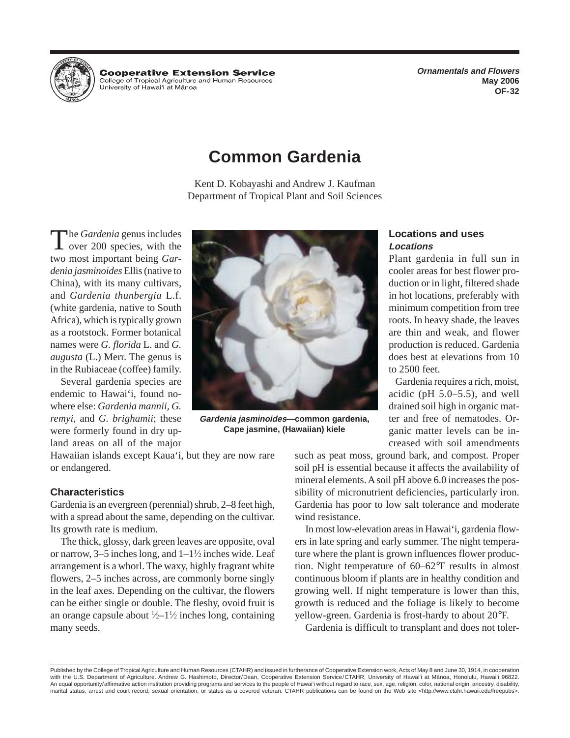**Cooperative Extension Service** College of Tropical Agriculture and Human Resources University of Hawai'i at Mānoa

**Ornamentals and Flowers May 2006 OF-32** 

# **Common Gardenia**

Kent D. Kobayashi and Andrew J. Kaufman Department of Tropical Plant and Soil Sciences

Several gardenia species are land areas on all of the major creased with soil amendments

or endangered. soil pH is essential because it affects the availability of

with a spread about the same, depending on the cultivar. wind resistance. Its growth rate is medium. In most low-elevation areas in Hawai'i, gardenia flow-

or narrow,  $3-5$  inches long, and  $1-1\frac{1}{2}$  inches wide. Leaf arrangement is a whorl. The waxy, highly fragrant white tion. Night temperature of  $60-62^{\circ}$ F results in almost flowers, 2–5 inches across, are commonly borne singly continuous bloom if plants are in healthy condition and in the leaf axes. Depending on the cultivar, the flowers growing well. If night temperature is lower than this, can be either single or double. The fleshy, ovoid fruit is growth is reduced and the foliage is likely to become an orange capsule about  $\frac{1}{2}$ -1<sup>1</sup> many seeds. Gardenia is difficult to transplant and does not toler-



remyi, and *G. brighamii*; these **Gardenia jasminoides—common gardenia**, ter and free of nematodes. Orwere formerly found in dry up-<br> **Cape jasmine, (Hawaiian) kiele** ganic matter levels can be in-**Cape jasmine, (Hawaiian) kiele** 

Gardenia requires a rich, moist,

Hawaiian islands except Kaua'i, but they are now rare such as peat moss, ground bark, and compost. Proper mineral elements. A soil pH above 6.0 increases the pos-**Characteristics** sibility of micronutrient deficiencies, particularly iron. Gardenia is an evergreen (perennial) shrub, 2–8 feet high, Gardenia has poor to low salt tolerance and moderate

The thick, glossy, dark green leaves are opposite, oval ers in late spring and early summer. The night temperature where the plant is grown influences flower producyellow-green. Gardenia is frost-hardy to about 20°F.

Published by the College of Tropical Agriculture and Human Resources (CTAHR) and issued in furtherance of Cooperative Extension work, Acts of May 8 and June 30, 1914, in cooperation with the U.S. Department of Agriculture. Andrew G. Hashimoto, Director/Dean, Cooperative Extension Service/CTAHR, University of Hawai'i at Manoa, Honolulu, Hawai'i 96822. An equal opportunity/affirmative action institution providing programs and services to the people of Hawai'i without regard to race, sex, age, religion, color, national origin, ancestry, disability, marital status, arrest and court record, sexual orientation, or status as a covered veteran. CTAHR publications can be found on the Web site <http://www.ctahr.hawaii.edu/freepubs>.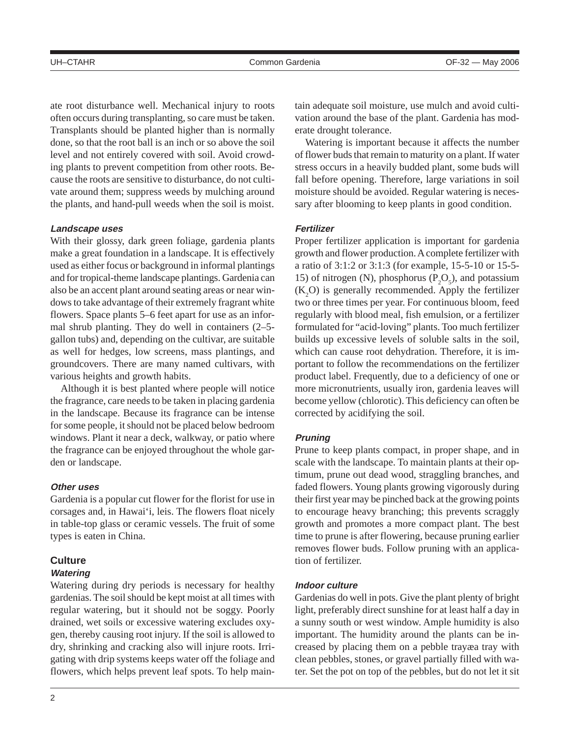ate root disturbance well. Mechanical injury to roots often occurs during transplanting, so care must be taken. Transplants should be planted higher than is normally done, so that the root ball is an inch or so above the soil level and not entirely covered with soil. Avoid crowding plants to prevent competition from other roots. Because the roots are sensitive to disturbance, do not cultivate around them; suppress weeds by mulching around the plants, and hand-pull weeds when the soil is moist.

#### **Landscape uses**

With their glossy, dark green foliage, gardenia plants make a great foundation in a landscape. It is effectively used as either focus or background in informal plantings and for tropical-theme landscape plantings. Gardenia can also be an accent plant around seating areas or near windows to take advantage of their extremely fragrant white flowers. Space plants 5–6 feet apart for use as an informal shrub planting. They do well in containers (2–5 gallon tubs) and, depending on the cultivar, are suitable as well for hedges, low screens, mass plantings, and groundcovers. There are many named cultivars, with various heights and growth habits.

Although it is best planted where people will notice the fragrance, care needs to be taken in placing gardenia in the landscape. Because its fragrance can be intense for some people, it should not be placed below bedroom windows. Plant it near a deck, walkway, or patio where the fragrance can be enjoyed throughout the whole garden or landscape.

### **Other uses**

Gardenia is a popular cut flower for the florist for use in corsages and, in Hawai'i, leis. The flowers float nicely in table-top glass or ceramic vessels. The fruit of some types is eaten in China.

### **Culture**

#### **Watering**

Watering during dry periods is necessary for healthy gardenias. The soil should be kept moist at all times with regular watering, but it should not be soggy. Poorly drained, wet soils or excessive watering excludes oxygen, thereby causing root injury. If the soil is allowed to dry, shrinking and cracking also will injure roots. Irrigating with drip systems keeps water off the foliage and flowers, which helps prevent leaf spots. To help maintain adequate soil moisture, use mulch and avoid cultivation around the base of the plant. Gardenia has moderate drought tolerance.

Watering is important because it affects the number of flower buds that remain to maturity on a plant. If water stress occurs in a heavily budded plant, some buds will fall before opening. Therefore, large variations in soil moisture should be avoided. Regular watering is necessary after blooming to keep plants in good condition.

#### **Fertilizer**

Proper fertilizer application is important for gardenia growth and flower production. A complete fertilizer with a ratio of 3:1:2 or 3:1:3 (for example, 15-5-10 or 15-5 15) of nitrogen (N), phosphorus  $(P_2O_5)$ , and potassium  $(K_2O)$  is generally recommended. Apply the fertilizer two or three times per year. For continuous bloom, feed regularly with blood meal, fish emulsion, or a fertilizer formulated for "acid-loving" plants. Too much fertilizer builds up excessive levels of soluble salts in the soil, which can cause root dehydration. Therefore, it is important to follow the recommendations on the fertilizer product label. Frequently, due to a deficiency of one or more micronutrients, usually iron, gardenia leaves will become yellow (chlorotic). This deficiency can often be corrected by acidifying the soil.

#### **Pruning**

Prune to keep plants compact, in proper shape, and in scale with the landscape. To maintain plants at their optimum, prune out dead wood, straggling branches, and faded flowers. Young plants growing vigorously during their first year may be pinched back at the growing points to encourage heavy branching; this prevents scraggly growth and promotes a more compact plant. The best time to prune is after flowering, because pruning earlier removes flower buds. Follow pruning with an application of fertilizer.

#### **Indoor culture**

Gardenias do well in pots. Give the plant plenty of bright light, preferably direct sunshine for at least half a day in a sunny south or west window. Ample humidity is also important. The humidity around the plants can be increased by placing them on a pebble trayæa tray with clean pebbles, stones, or gravel partially filled with water. Set the pot on top of the pebbles, but do not let it sit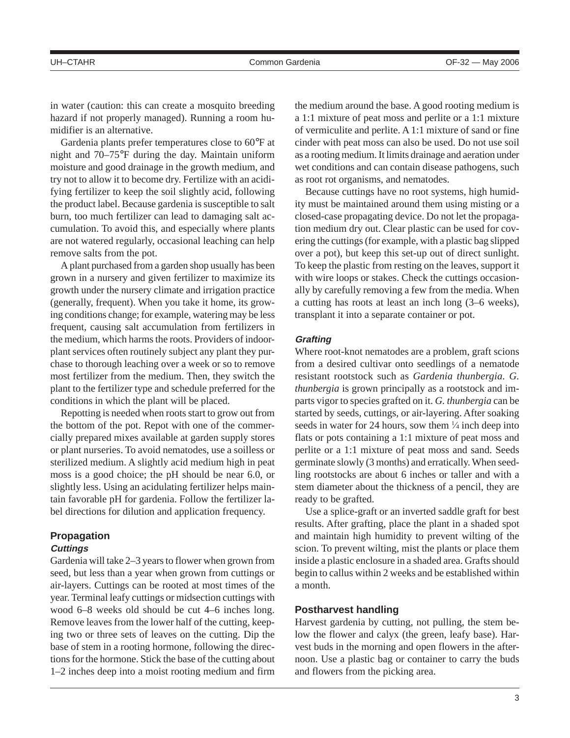in water (caution: this can create a mosquito breeding hazard if not properly managed). Running a room humidifier is an alternative.

Gardenia plants prefer temperatures close to 60°F at night and 70–75°F during the day. Maintain uniform moisture and good drainage in the growth medium, and try not to allow it to become dry. Fertilize with an acidifying fertilizer to keep the soil slightly acid, following the product label. Because gardenia is susceptible to salt burn, too much fertilizer can lead to damaging salt accumulation. To avoid this, and especially where plants are not watered regularly, occasional leaching can help remove salts from the pot.

A plant purchased from a garden shop usually has been grown in a nursery and given fertilizer to maximize its growth under the nursery climate and irrigation practice (generally, frequent). When you take it home, its growing conditions change; for example, watering may be less frequent, causing salt accumulation from fertilizers in the medium, which harms the roots. Providers of indoorplant services often routinely subject any plant they purchase to thorough leaching over a week or so to remove most fertilizer from the medium. Then, they switch the plant to the fertilizer type and schedule preferred for the conditions in which the plant will be placed.

Repotting is needed when roots start to grow out from the bottom of the pot. Repot with one of the commercially prepared mixes available at garden supply stores or plant nurseries. To avoid nematodes, use a soilless or sterilized medium. A slightly acid medium high in peat moss is a good choice; the pH should be near 6.0, or slightly less. Using an acidulating fertilizer helps maintain favorable pH for gardenia. Follow the fertilizer label directions for dilution and application frequency.

### **Propagation Cuttings**

Gardenia will take 2–3 years to flower when grown from seed, but less than a year when grown from cuttings or air-layers. Cuttings can be rooted at most times of the year. Terminal leafy cuttings or midsection cuttings with wood 6–8 weeks old should be cut 4–6 inches long. Remove leaves from the lower half of the cutting, keeping two or three sets of leaves on the cutting. Dip the base of stem in a rooting hormone, following the directions for the hormone. Stick the base of the cutting about 1–2 inches deep into a moist rooting medium and firm the medium around the base. A good rooting medium is a 1:1 mixture of peat moss and perlite or a 1:1 mixture of vermiculite and perlite. A 1:1 mixture of sand or fine cinder with peat moss can also be used. Do not use soil as a rooting medium. It limits drainage and aeration under wet conditions and can contain disease pathogens, such as root rot organisms, and nematodes.

Because cuttings have no root systems, high humidity must be maintained around them using misting or a closed-case propagating device. Do not let the propagation medium dry out. Clear plastic can be used for covering the cuttings (for example, with a plastic bag slipped over a pot), but keep this set-up out of direct sunlight. To keep the plastic from resting on the leaves, support it with wire loops or stakes. Check the cuttings occasionally by carefully removing a few from the media. When a cutting has roots at least an inch long (3–6 weeks), transplant it into a separate container or pot.

#### **Grafting**

Where root-knot nematodes are a problem, graft scions from a desired cultivar onto seedlings of a nematode resistant rootstock such as *Gardenia thunbergia. G. thunbergia* is grown principally as a rootstock and imparts vigor to species grafted on it. *G. thunbergia* can be started by seeds, cuttings, or air-layering. After soaking seeds in water for 24 hours, sow them  $\frac{1}{4}$  inch deep into flats or pots containing a 1:1 mixture of peat moss and perlite or a 1:1 mixture of peat moss and sand. Seeds germinate slowly (3 months) and erratically. When seedling rootstocks are about 6 inches or taller and with a stem diameter about the thickness of a pencil, they are ready to be grafted.

Use a splice-graft or an inverted saddle graft for best results. After grafting, place the plant in a shaded spot and maintain high humidity to prevent wilting of the scion. To prevent wilting, mist the plants or place them inside a plastic enclosure in a shaded area. Grafts should begin to callus within 2 weeks and be established within a month.

#### **Postharvest handling**

Harvest gardenia by cutting, not pulling, the stem below the flower and calyx (the green, leafy base). Harvest buds in the morning and open flowers in the afternoon. Use a plastic bag or container to carry the buds and flowers from the picking area.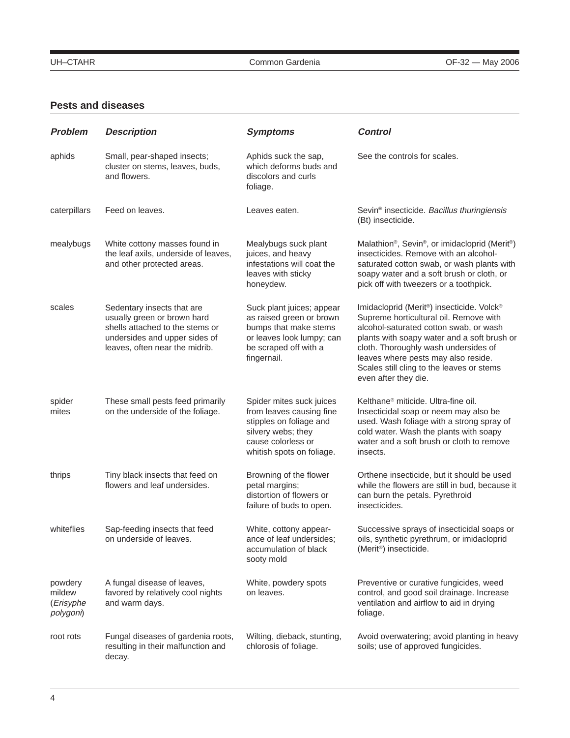## **Pests and diseases**

| <b>Problem</b>                              | <b>Description</b>                                                                                                                                              | <b>Symptoms</b>                                                                                                                                          | <b>Control</b>                                                                                                                                                                                                                                                                                                                   |
|---------------------------------------------|-----------------------------------------------------------------------------------------------------------------------------------------------------------------|----------------------------------------------------------------------------------------------------------------------------------------------------------|----------------------------------------------------------------------------------------------------------------------------------------------------------------------------------------------------------------------------------------------------------------------------------------------------------------------------------|
| aphids                                      | Small, pear-shaped insects;<br>cluster on stems, leaves, buds,<br>and flowers.                                                                                  | Aphids suck the sap,<br>which deforms buds and<br>discolors and curls<br>foliage.                                                                        | See the controls for scales.                                                                                                                                                                                                                                                                                                     |
| caterpillars                                | Feed on leaves.                                                                                                                                                 | Leaves eaten.                                                                                                                                            | Sevin <sup>®</sup> insecticide. Bacillus thuringiensis<br>(Bt) insecticide.                                                                                                                                                                                                                                                      |
| mealybugs                                   | White cottony masses found in<br>the leaf axils, underside of leaves,<br>and other protected areas.                                                             | Mealybugs suck plant<br>juices, and heavy<br>infestations will coat the<br>leaves with sticky<br>honeydew.                                               | Malathion <sup>®</sup> , Sevin <sup>®</sup> , or imidacloprid (Merit <sup>®</sup> )<br>insecticides. Remove with an alcohol-<br>saturated cotton swab, or wash plants with<br>soapy water and a soft brush or cloth, or<br>pick off with tweezers or a toothpick.                                                                |
| scales                                      | Sedentary insects that are<br>usually green or brown hard<br>shells attached to the stems or<br>undersides and upper sides of<br>leaves, often near the midrib. | Suck plant juices; appear<br>as raised green or brown<br>bumps that make stems<br>or leaves look lumpy; can<br>be scraped off with a<br>fingernail.      | Imidacloprid (Merit®) insecticide. Volck®<br>Supreme horticultural oil. Remove with<br>alcohol-saturated cotton swab, or wash<br>plants with soapy water and a soft brush or<br>cloth. Thoroughly wash undersides of<br>leaves where pests may also reside.<br>Scales still cling to the leaves or stems<br>even after they die. |
| spider<br>mites                             | These small pests feed primarily<br>on the underside of the foliage.                                                                                            | Spider mites suck juices<br>from leaves causing fine<br>stipples on foliage and<br>silvery webs; they<br>cause colorless or<br>whitish spots on foliage. | Kelthane <sup>®</sup> miticide. Ultra-fine oil.<br>Insecticidal soap or neem may also be<br>used. Wash foliage with a strong spray of<br>cold water. Wash the plants with soapy<br>water and a soft brush or cloth to remove<br>insects.                                                                                         |
| thrips                                      | Tiny black insects that feed on<br>flowers and leaf undersides.                                                                                                 | Browning of the flower<br>petal margins;<br>distortion of flowers or<br>failure of buds to open.                                                         | Orthene insecticide, but it should be used<br>while the flowers are still in bud, because it<br>can burn the petals. Pyrethroid<br>insecticides.                                                                                                                                                                                 |
| whiteflies                                  | Sap-feeding insects that feed<br>on underside of leaves.                                                                                                        | White, cottony appear-<br>ance of leaf undersides;<br>accumulation of black<br>sooty mold                                                                | Successive sprays of insecticidal soaps or<br>oils, synthetic pyrethrum, or imidacloprid<br>(Merit®) insecticide.                                                                                                                                                                                                                |
| powdery<br>mildew<br>(Erisyphe<br>polygoni) | A fungal disease of leaves,<br>favored by relatively cool nights<br>and warm days.                                                                              | White, powdery spots<br>on leaves.                                                                                                                       | Preventive or curative fungicides, weed<br>control, and good soil drainage. Increase<br>ventilation and airflow to aid in drying<br>foliage.                                                                                                                                                                                     |
| root rots                                   | Fungal diseases of gardenia roots,<br>resulting in their malfunction and<br>decay.                                                                              | Wilting, dieback, stunting,<br>chlorosis of foliage.                                                                                                     | Avoid overwatering; avoid planting in heavy<br>soils; use of approved fungicides.                                                                                                                                                                                                                                                |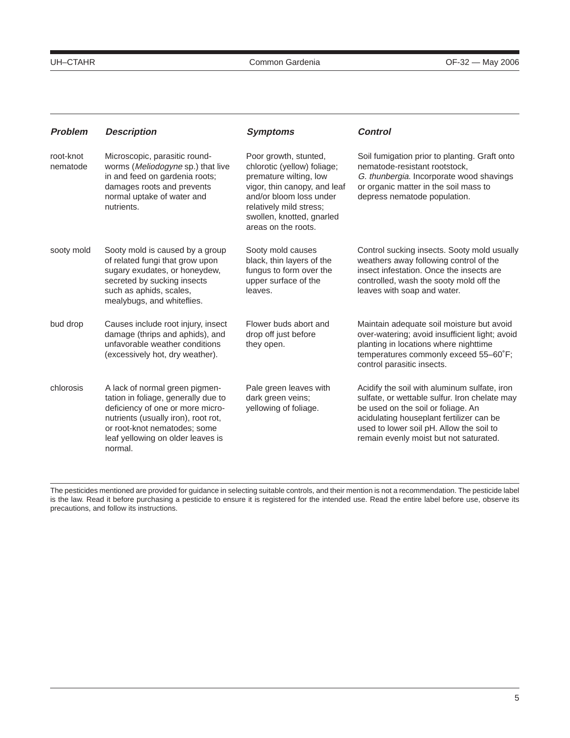| <b>Problem</b>        | <b>Description</b>                                                                                                                                                                                                               | <b>Symptoms</b>                                                                                                                                                                                                          | <b>Control</b>                                                                                                                                                                                                                                                        |
|-----------------------|----------------------------------------------------------------------------------------------------------------------------------------------------------------------------------------------------------------------------------|--------------------------------------------------------------------------------------------------------------------------------------------------------------------------------------------------------------------------|-----------------------------------------------------------------------------------------------------------------------------------------------------------------------------------------------------------------------------------------------------------------------|
| root-knot<br>nematode | Microscopic, parasitic round-<br>worms (Meliodogyne sp.) that live<br>in and feed on gardenia roots;<br>damages roots and prevents<br>normal uptake of water and<br>nutrients.                                                   | Poor growth, stunted,<br>chlorotic (yellow) foliage;<br>premature wilting, low<br>vigor, thin canopy, and leaf<br>and/or bloom loss under<br>relatively mild stress;<br>swollen, knotted, gnarled<br>areas on the roots. | Soil fumigation prior to planting. Graft onto<br>nematode-resistant rootstock.<br>G. thunbergia. Incorporate wood shavings<br>or organic matter in the soil mass to<br>depress nematode population.                                                                   |
| sooty mold            | Sooty mold is caused by a group<br>of related fungi that grow upon<br>sugary exudates, or honeydew,<br>secreted by sucking insects<br>such as aphids, scales,<br>mealybugs, and whiteflies.                                      | Sooty mold causes<br>black, thin layers of the<br>fungus to form over the<br>upper surface of the<br>leaves.                                                                                                             | Control sucking insects. Sooty mold usually<br>weathers away following control of the<br>insect infestation. Once the insects are<br>controlled, wash the sooty mold off the<br>leaves with soap and water.                                                           |
| bud drop              | Causes include root injury, insect<br>damage (thrips and aphids), and<br>unfavorable weather conditions<br>(excessively hot, dry weather).                                                                                       | Flower buds abort and<br>drop off just before<br>they open.                                                                                                                                                              | Maintain adequate soil moisture but avoid<br>over-watering; avoid insufficient light; avoid<br>planting in locations where nighttime<br>temperatures commonly exceed 55-60°F;<br>control parasitic insects.                                                           |
| chlorosis             | A lack of normal green pigmen-<br>tation in foliage, generally due to<br>deficiency of one or more micro-<br>nutrients (usually iron), root rot,<br>or root-knot nematodes; some<br>leaf yellowing on older leaves is<br>normal. | Pale green leaves with<br>dark green veins;<br>yellowing of foliage.                                                                                                                                                     | Acidify the soil with aluminum sulfate, iron<br>sulfate, or wettable sulfur. Iron chelate may<br>be used on the soil or foliage. An<br>acidulating houseplant fertilizer can be<br>used to lower soil pH. Allow the soil to<br>remain evenly moist but not saturated. |

The pesticides mentioned are provided for guidance in selecting suitable controls, and their mention is not a recommendation. The pesticide label is the law. Read it before purchasing a pesticide to ensure it is registered for the intended use. Read the entire label before use, observe its precautions, and follow its instructions.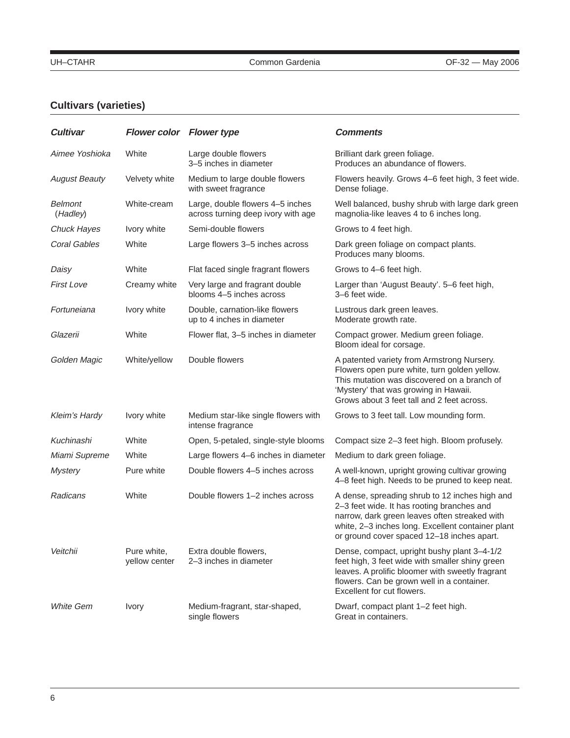# **Cultivars (varieties)**

| <b>Cultivar</b>            | <b>Flower color Flower type</b> |                                                                        | <b>Comments</b>                                                                                                                                                                                                                                  |
|----------------------------|---------------------------------|------------------------------------------------------------------------|--------------------------------------------------------------------------------------------------------------------------------------------------------------------------------------------------------------------------------------------------|
| Aimee Yoshioka             | White                           | Large double flowers<br>3–5 inches in diameter                         | Brilliant dark green foliage.<br>Produces an abundance of flowers.                                                                                                                                                                               |
| <b>August Beauty</b>       | Velvety white                   | Medium to large double flowers<br>with sweet fragrance                 | Flowers heavily. Grows 4-6 feet high, 3 feet wide.<br>Dense foliage.                                                                                                                                                                             |
| <b>Belmont</b><br>(Hadley) | White-cream                     | Large, double flowers 4-5 inches<br>across turning deep ivory with age | Well balanced, bushy shrub with large dark green<br>magnolia-like leaves 4 to 6 inches long.                                                                                                                                                     |
| <b>Chuck Hayes</b>         | Ivory white                     | Semi-double flowers                                                    | Grows to 4 feet high.                                                                                                                                                                                                                            |
| <b>Coral Gables</b>        | White                           | Large flowers 3-5 inches across                                        | Dark green foliage on compact plants.<br>Produces many blooms.                                                                                                                                                                                   |
| Daisy                      | White                           | Flat faced single fragrant flowers                                     | Grows to 4–6 feet high.                                                                                                                                                                                                                          |
| <b>First Love</b>          | Creamy white                    | Very large and fragrant double<br>blooms 4-5 inches across             | Larger than 'August Beauty'. 5-6 feet high,<br>3-6 feet wide.                                                                                                                                                                                    |
| Fortuneiana                | Ivory white                     | Double, carnation-like flowers<br>up to 4 inches in diameter           | Lustrous dark green leaves.<br>Moderate growth rate.                                                                                                                                                                                             |
| Glazerii                   | White                           | Flower flat, 3-5 inches in diameter                                    | Compact grower. Medium green foliage.<br>Bloom ideal for corsage.                                                                                                                                                                                |
| Golden Magic               | White/yellow                    | Double flowers                                                         | A patented variety from Armstrong Nursery.<br>Flowers open pure white, turn golden yellow.<br>This mutation was discovered on a branch of<br>'Mystery' that was growing in Hawaii.<br>Grows about 3 feet tall and 2 feet across.                 |
| <b>Kleim's Hardy</b>       | Ivory white                     | Medium star-like single flowers with<br>intense fragrance              | Grows to 3 feet tall. Low mounding form.                                                                                                                                                                                                         |
| Kuchinashi                 | White                           | Open, 5-petaled, single-style blooms                                   | Compact size 2-3 feet high. Bloom profusely.                                                                                                                                                                                                     |
| Miami Supreme              | White                           | Large flowers 4–6 inches in diameter                                   | Medium to dark green foliage.                                                                                                                                                                                                                    |
| <b>Mystery</b>             | Pure white                      | Double flowers 4–5 inches across                                       | A well-known, upright growing cultivar growing<br>4-8 feet high. Needs to be pruned to keep neat.                                                                                                                                                |
| Radicans                   | White                           | Double flowers 1-2 inches across                                       | A dense, spreading shrub to 12 inches high and<br>2-3 feet wide. It has rooting branches and<br>narrow, dark green leaves often streaked with<br>white, 2-3 inches long. Excellent container plant<br>or ground cover spaced 12-18 inches apart. |
| Veitchii                   | Pure white,<br>yellow center    | Extra double flowers,<br>2-3 inches in diameter                        | Dense, compact, upright bushy plant 3-4-1/2<br>feet high, 3 feet wide with smaller shiny green<br>leaves. A prolific bloomer with sweetly fragrant<br>flowers. Can be grown well in a container.<br>Excellent for cut flowers.                   |
| <b>White Gem</b>           | Ivory                           | Medium-fragrant, star-shaped,<br>single flowers                        | Dwarf, compact plant 1-2 feet high.<br>Great in containers.                                                                                                                                                                                      |